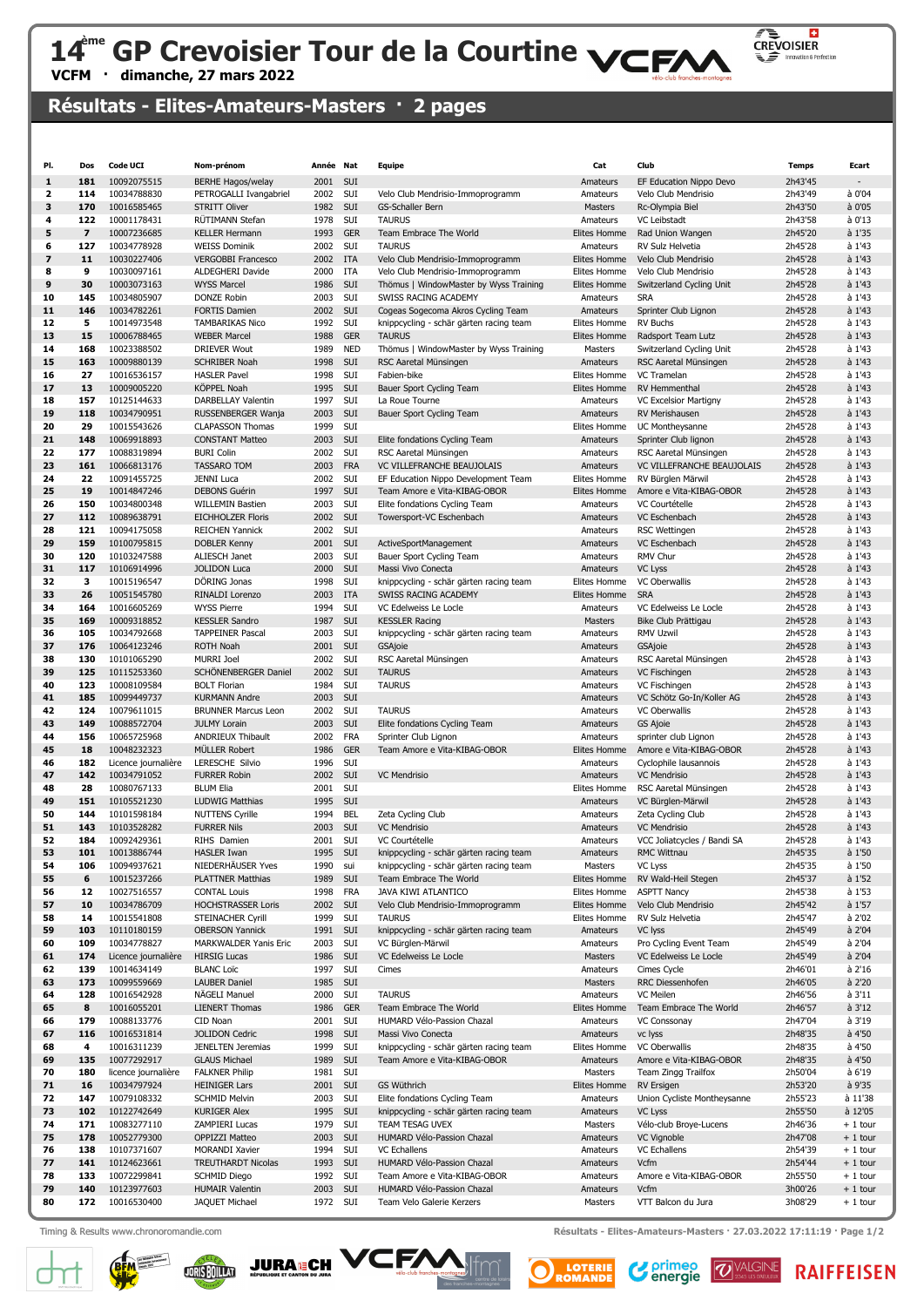

Résultats - Elites-Amateurs-Masters · 2 pages

| PI.                     | Dos        | <b>Code UCI</b>            | Nom-prénom                                        | Année Nat    |            | <b>Equipe</b>                                                | Cat                      | Club                                           | <b>Temps</b>       | Ecart                    |
|-------------------------|------------|----------------------------|---------------------------------------------------|--------------|------------|--------------------------------------------------------------|--------------------------|------------------------------------------------|--------------------|--------------------------|
| 1                       | 181        | 10092075515                | <b>BERHE Hagos/welay</b>                          | 2001         | SUI        |                                                              | Amateurs                 | EF Education Nippo Devo                        | 2h43'45            | $\overline{\phantom{a}}$ |
| $\overline{\mathbf{2}}$ | 114        | 10034788830                | PETROGALLI Ivangabriel                            | 2002         | SUI        | Velo Club Mendrisio-Immoprogramm                             | Amateurs                 | Velo Club Mendrisio                            | 2h43'49            | à 0'04                   |
| 3                       | 170        | 10016585465                | <b>STRITT Oliver</b>                              | 1982         | SUI        | GS-Schaller Bern                                             | Masters                  | Rc-Olympia Biel                                | 2h43'50            | à 0'05                   |
| 4                       | 122        | 10001178431                | RUTIMANN Stefan                                   | 1978         | SUI        | <b>TAURUS</b>                                                | Amateurs                 | VC Leibstadt                                   | 2h43'58            | à 0'13                   |
| 5                       | 7          | 10007236685                | <b>KELLER Hermann</b>                             | 1993         | GER        | Team Embrace The World                                       | Elites Homme             | Rad Union Wangen                               | 2h45'20            | à 1'35                   |
| 6                       | 127        | 10034778928                | <b>WEISS Dominik</b>                              | 2002         | SUI        | <b>TAURUS</b>                                                | Amateurs                 | RV Sulz Helvetia                               | 2h45'28            | à 1'43                   |
| $\overline{\mathbf{z}}$ | 11         | 10030227406                | <b>VERGOBBI Francesco</b>                         | 2002         | <b>ITA</b> | Velo Club Mendrisio-Immoprogramm                             | Elites Homme             | Velo Club Mendrisio                            | 2h45'28            | à 1'43                   |
| 8                       | 9          | 10030097161                | ALDEGHERI Davide                                  | 2000         | <b>ITA</b> | Velo Club Mendrisio-Immoprogramm                             | Elites Homme             | Velo Club Mendrisio                            | 2h45'28            | à 1'43                   |
| 9                       | 30         | 10003073163                | <b>WYSS Marcel</b>                                | 1986         | SUI        | Thömus   WindowMaster by Wyss Training                       | Elites Homme             | Switzerland Cycling Unit                       | 2h45'28            | à 1'43                   |
| 10                      | 145        | 10034805907                | DONZE Robin                                       | 2003         | SUI        | SWISS RACING ACADEMY                                         | Amateurs                 | <b>SRA</b>                                     | 2h45'28            | à 1'43                   |
| 11                      | 146        | 10034782261                | <b>FORTIS Damien</b>                              | 2002         | SUI        | Cogeas Sogecoma Akros Cycling Team                           | Amateurs                 | Sprinter Club Lignon                           | 2h45'28            | à 1'43                   |
| 12                      | 5          | 10014973548                | <b>TAMBARIKAS Nico</b>                            | 1992         | SUI        | knippcycling - schär gärten racing team                      | Elites Homme             | <b>RV Buchs</b>                                | 2h45'28            | à 1'43                   |
| 13                      | 15         | 10006788465                | <b>WEBER Marcel</b>                               | 1988         | <b>GER</b> | <b>TAURUS</b>                                                | Elites Homme             | Radsport Team Lutz                             | 2h45'28            | à 1'43                   |
| 14                      | 168        | 10023388502                | <b>DRIEVER Wout</b>                               | 1989         | <b>NED</b> | Thömus   WindowMaster by Wyss Training                       | Masters                  | Switzerland Cycling Unit                       | 2h45'28            | à 1'43                   |
| 15                      | 163        | 10009880139                | <b>SCHRIBER Noah</b>                              | 1998         | SUI        | RSC Aaretal Münsingen                                        | Amateurs                 | RSC Aaretal Münsingen                          | 2h45'28            | à 1'43                   |
| 16                      | 27         | 10016536157                | <b>HASLER Pavel</b>                               | 1998         | SUI        | Fabien-bike                                                  | Elites Homme             | VC Tramelan                                    | 2h45'28            | à 1'43                   |
| 17                      | 13         | 10009005220                | <b>KÖPPEL Noah</b>                                | 1995         | SUI        | Bauer Sport Cycling Team                                     | Elites Homme             | RV Hemmenthal                                  | 2h45'28            | à 1'43                   |
| 18<br>19                | 157<br>118 | 10125144633                | DARBELLAY Valentin                                | 1997         | SUI<br>SUI | La Roue Tourne                                               | Amateurs                 | VC Excelsior Martigny                          | 2h45'28            | à 1'43<br>à 1'43         |
| 20                      | 29         | 10034790951<br>10015543626 | RUSSENBERGER Wanja                                | 2003<br>1999 | SUI        | Bauer Sport Cycling Team                                     | Amateurs                 | RV Merishausen                                 | 2h45'28<br>2h45'28 | à 1'43                   |
| 21                      | 148        | 10069918893                | <b>CLAPASSON Thomas</b><br><b>CONSTANT Matteo</b> | 2003         | SUI        | Elite fondations Cycling Team                                | Elites Homme<br>Amateurs | <b>UC Montheysanne</b><br>Sprinter Club lignon | 2h45'28            | à 1'43                   |
| 22                      | 177        | 10088319894                | <b>BURI Colin</b>                                 | 2002         | SUI        | RSC Aaretal Münsingen                                        | Amateurs                 | RSC Aaretal Münsingen                          | 2h45'28            | à 1'43                   |
| 23                      | 161        | 10066813176                | <b>TASSARO TOM</b>                                | 2003         | <b>FRA</b> | VC VILLEFRANCHE BEAUJOLAIS                                   | Amateurs                 | VC VILLEFRANCHE BEAUJOLAIS                     | 2h45'28            | à 1'43                   |
| 24                      | 22         | 10091455725                | JENNI Luca                                        | 2002         | SUI        | EF Education Nippo Development Team                          | Elites Homme             | RV Bürglen Märwil                              | 2h45'28            | à 1'43                   |
| 25                      | 19         | 10014847246                | <b>DEBONS Guérin</b>                              | 1997         | SUI        | Team Amore e Vita-KIBAG-OBOR                                 | Elites Homme             | Amore e Vita-KIBAG-OBOR                        | 2h45'28            | à 1'43                   |
| 26                      | 150        | 10034800348                | <b>WILLEMIN Bastien</b>                           | 2003         | SUI        | Elite fondations Cycling Team                                | Amateurs                 | VC Courtételle                                 | 2h45'28            | à 1'43                   |
| 27                      | 112        | 10089638791                | <b>EICHHOLZER Floris</b>                          | 2002         | SUI        | Towersport-VC Eschenbach                                     | Amateurs                 | VC Eschenbach                                  | 2h45'28            | à 1'43                   |
| 28                      | 121        | 10094175058                | <b>REICHEN Yannick</b>                            | 2002         | SUI        |                                                              | Amateurs                 | <b>RSC Wettingen</b>                           | 2h45'28            | à 1'43                   |
| 29                      | 159        | 10100795815                | <b>DOBLER Kenny</b>                               | 2001         | SUI        | ActiveSportManagement                                        | Amateurs                 | VC Eschenbach                                  | 2h45'28            | à 1'43                   |
| 30                      | 120        | 10103247588                | ALIESCH Janet                                     | 2003         | SUI        | Bauer Sport Cycling Team                                     | Amateurs                 | RMV Chur                                       | 2h45'28            | à 1'43                   |
| 31                      | 117        | 10106914996                | <b>JOLIDON Luca</b>                               | 2000         | SUI        | Massi Vivo Conecta                                           | Amateurs                 | <b>VC Lyss</b>                                 | 2h45'28            | à 1'43                   |
| 32                      | 3          | 10015196547                | DÖRING Jonas                                      | 1998         | SUI        | knippcycling - schär gärten racing team                      | Elites Homme             | VC Oberwallis                                  | 2h45'28            | à 1'43                   |
| 33                      | 26         | 10051545780                | RINALDI Lorenzo                                   | 2003         | <b>ITA</b> | SWISS RACING ACADEMY                                         | Elites Homme             | <b>SRA</b>                                     | 2h45'28            | à 1'43                   |
| 34                      | 164        | 10016605269                | <b>WYSS Pierre</b>                                | 1994         | SUI        | VC Edelweiss Le Locle                                        | Amateurs                 | VC Edelweiss Le Locle                          | 2h45'28            | à 1'43                   |
| 35                      | 169        | 10009318852                | <b>KESSLER Sandro</b>                             | 1987         | SUI        | <b>KESSLER Racing</b>                                        | Masters                  | Bike Club Prättigau                            | 2h45'28            | à 1'43                   |
| 36                      | 105        | 10034792668                | <b>TAPPEINER Pascal</b>                           | 2003         | SUI        | knippcycling - schär gärten racing team                      | Amateurs                 | <b>RMV Uzwil</b>                               | 2h45'28            | à 1'43                   |
| 37                      | 176        | 10064123246                | ROTH Noah                                         | 2001         | SUI        | GSAjoie                                                      | Amateurs                 | GSAjoie                                        | 2h45'28            | à 1'43                   |
| 38                      | 130        | 10101065290                | MURRI Joel                                        | 2002         | SUI        | RSC Aaretal Münsingen                                        | Amateurs                 | RSC Aaretal Münsingen                          | 2h45'28            | à 1'43                   |
| 39                      | 125        | 10115253360                | SCHÖNENBERGER Daniel                              | 2002         | SUI        | <b>TAURUS</b>                                                | Amateurs                 | VC Fischingen                                  | 2h45'28            | à 1'43                   |
| 40                      | 123        | 10008109584                | <b>BOLT Florian</b>                               | 1984         | SUI        | <b>TAURUS</b>                                                | Amateurs                 | VC Fischingen                                  | 2h45'28            | à 1'43                   |
| 41                      | 185        | 10099449737                | <b>KURMANN Andre</b>                              | 2003         | SUI        |                                                              | Amateurs                 | VC Schötz Go-In/Koller AG                      | 2h45'28            | à 1'43                   |
| 42<br>43                | 124<br>149 | 10079611015<br>10088572704 | <b>BRUNNER Marcus Leon</b><br><b>JULMY Lorain</b> | 2002<br>2003 | SUI<br>SUI | <b>TAURUS</b><br>Elite fondations Cycling Team               | Amateurs<br>Amateurs     | VC Oberwallis<br>GS Ajoie                      | 2h45'28<br>2h45'28 | à 1'43<br>à 1'43         |
| 44                      | 156        | 10065725968                | <b>ANDRIEUX Thibault</b>                          | 2002         | <b>FRA</b> | Sprinter Club Lignon                                         | Amateurs                 | sprinter club Lignon                           | 2h45'28            | à 1'43                   |
| 45                      | 18         | 10048232323                | <b>MÜLLER Robert</b>                              | 1986         | GER        | Team Amore e Vita-KIBAG-OBOR                                 | Elites Homme             | Amore e Vita-KIBAG-OBOR                        | 2h45'28            | à 1'43                   |
| 46                      | 182        | Licence journalière        | LERESCHE Silvio                                   | 1996         | SUI        |                                                              | Amateurs                 | Cyclophile lausannois                          | 2h45'28            | à 1'43                   |
| 47                      | 142        | 10034791052                | <b>FURRER Robin</b>                               | 2002         | SUI        | <b>VC Mendrisio</b>                                          | Amateurs                 | VC Mendrisio                                   | 2h45'28            | à 1'43                   |
| 48                      | 28         | 10080767133                | <b>BLUM Elia</b>                                  | 2001         | SUI        |                                                              | Elites Homme             | RSC Aaretal Münsingen                          | 2h45'28            | à 1'43                   |
| 49                      | 151        | 10105521230                | <b>LUDWIG Matthias</b>                            | 1995         | SUI        |                                                              | Amateurs                 | VC Bürglen-Märwil                              | 2h45'28            | à 1'43                   |
| 50                      | 144        | 10101598184                | <b>NUTTENS Cyrille</b>                            | 1994         | <b>BEL</b> | Zeta Cycling Club                                            | Amateurs                 | Zeta Cycling Club                              | 2h45'28            | à 1'43                   |
| 51                      | 143        | 10103528282                | <b>FURRER Nils</b>                                | 2003         | SUI        | VC Mendrisio                                                 | Amateurs                 | <b>VC Mendrisio</b>                            | 2h45'28            | à 1'43                   |
| 52                      | 184        | 10092429361                | RIHS Damien                                       | 2001         | SUI        | VC Courtételle                                               | Amateurs                 | VCC Joliatcycles / Bandi SA                    | 2h45'28            | à 1'43                   |
| 53                      | 101        | 10013886744                | <b>HASLER Iwan</b>                                | 1995         | <b>SUI</b> | knippcycling - schär gärten racing team                      | Amateurs                 | RMC Wittnau                                    | 2h45'35            | à 1'50                   |
| 54                      | 106        | 10094937621                | NIEDERHÄUSER Yves                                 | 1990         | sui        | knippcycling - schär gärten racing team                      | Masters                  | VC Lyss                                        | 2h45'35            | à 1'50                   |
| 55                      | 6          | 10015237266                | <b>PLATTNER Matthias</b>                          | 1989         | SUI        | Team Embrace The World                                       | Elites Homme             | RV Wald-Heil Stegen                            | 2h45'37            | à 1'52                   |
| 56                      | 12         | 10027516557                | <b>CONTAL Louis</b>                               | 1998         | <b>FRA</b> | JAVA KIWI ATLANTICO                                          | Elites Homme             | <b>ASPTT Nancy</b>                             | 2h45'38            | à 1'53                   |
| 57                      | 10         | 10034786709                | <b>HOCHSTRASSER Loris</b>                         | 2002         | SUI        | Velo Club Mendrisio-Immoprogramm<br><b>TAURUS</b>            | Elites Homme             | Velo Club Mendrisio                            | 2h45'42            | à 1'57                   |
| 58<br>59                | 14<br>103  | 10015541808<br>10110180159 | STEINACHER Cyrill<br><b>OBERSON Yannick</b>       | 1999<br>1991 | SUI<br>SUI |                                                              | Elites Homme<br>Amateurs | RV Sulz Helvetia                               | 2h45'47<br>2h45'49 | à 2'02<br>à 2'04         |
| 60                      | 109        | 10034778827                | MARKWALDER Yanis Eric                             | 2003         | SUI        | knippcycling - schär gärten racing team<br>VC Bürglen-Märwil | Amateurs                 | VC lyss<br>Pro Cycling Event Team              | 2h45'49            | à 2'04                   |
| 61                      | 174        | Licence journalière        | <b>HIRSIG Lucas</b>                               | 1986         | SUI        | VC Edelweiss Le Locle                                        | Masters                  | VC Edelweiss Le Locle                          | 2h45'49            | à 2'04                   |
| 62                      | 139        | 10014634149                | <b>BLANC Loïc</b>                                 | 1997         | SUI        | Cimes                                                        | Amateurs                 | Cimes Cycle                                    | 2h46'01            | à 2'16                   |
| 63                      | 173        | 10099559669                | <b>LAUBER Daniel</b>                              | 1985         | SUI        |                                                              | Masters                  | RRC Diessenhofen                               | 2h46'05            | à 2'20                   |
| 64                      | 128        | 10016542928                | NÄGELI Manuel                                     | 2000         | SUI        | <b>TAURUS</b>                                                | Amateurs                 | VC Meilen                                      | 2h46'56            | à 3'11                   |
| 65                      | 8          | 10016055201                | <b>LIENERT Thomas</b>                             | 1986         | <b>GER</b> | Team Embrace The World                                       | Elites Homme             | Team Embrace The World                         | 2h46'57            | à 3'12                   |
| 66                      | 179        | 10088133776                | CID Noan                                          | 2001         | SUI        | HUMARD Vélo-Passion Chazal                                   | Amateurs                 | VC Conssonay                                   | 2h47'04            | à 3'19                   |
| 67                      | 116        | 10016531814                | JOLIDON Cedric                                    | 1998         | SUI        | Massi Vivo Conecta                                           | Amateurs                 | vc lyss                                        | 2h48'35            | à 4'50                   |
| 68                      | 4          | 10016311239                | JENELTEN Jeremias                                 | 1999         | SUI        | knippcycling - schär gärten racing team                      | Elites Homme             | VC Oberwallis                                  | 2h48'35            | à 4'50                   |
| 69                      | 135        | 10077292917                | <b>GLAUS Michael</b>                              | 1989         | SUI        | Team Amore e Vita-KIBAG-OBOR                                 | Amateurs                 | Amore e Vita-KIBAG-OBOR                        | 2h48'35            | à 4'50                   |
| 70                      | 180        | licence journalière        | <b>FALKNER Philip</b>                             | 1981         | SUI        |                                                              | Masters                  | Team Zingg Trailfox                            | 2h50'04            | à 6'19                   |
| 71                      | 16         | 10034797924                | <b>HEINIGER Lars</b>                              | 2001         | SUI        | GS Wüthrich                                                  | Elites Homme             | <b>RV Ersigen</b>                              | 2h53'20            | à 9'35                   |
| 72                      | 147        | 10079108332                | <b>SCHMID Melvin</b>                              | 2003         | SUI        | Elite fondations Cycling Team                                | Amateurs                 | Union Cycliste Montheysanne                    | 2h55'23            | à 11'38                  |
| 73                      | 102        | 10122742649                | <b>KURIGER Alex</b>                               | 1995         | SUI        | knippcycling - schär gärten racing team                      | Amateurs                 | VC Lyss                                        | 2h55'50            | à 12'05                  |
| 74                      | 171        | 10083277110                | ZAMPIERI Lucas                                    | 1979         | SUI        | TEAM TESAG UVEX                                              | Masters                  | Vélo-club Broye-Lucens                         | 2h46'36            | $+1$ tour                |
| 75                      | 178        | 10052779300                | OPPIZZI Matteo                                    | 2003         | SUI        | HUMARD Vélo-Passion Chazal                                   | Amateurs                 | VC Vignoble                                    | 2h47'08            | $+1$ tour                |
| 76                      | 138        | 10107371607                | MORANDI Xavier                                    | 1994         | SUI        | VC Echallens                                                 | Amateurs                 | VC Echallens                                   | 2h54'39            | $+1$ tour                |
| 77<br>78                | 141<br>133 | 10124623661<br>10072299841 | <b>TREUTHARDT Nicolas</b><br><b>SCHMID Diego</b>  | 1993<br>1992 | SUI<br>SUI | HUMARD Vélo-Passion Chazal<br>Team Amore e Vita-KIBAG-OBOR   | Amateurs<br>Amateurs     | Vcfm<br>Amore e Vita-KIBAG-OBOR                | 2h54'44<br>2h55'50 | $+1$ tour<br>$+1$ tour   |
| 79                      | 140        | 10123977603                | <b>HUMAIR Valentin</b>                            | 2003         | SUI        | HUMARD Vélo-Passion Chazal                                   | Amateurs                 | Vcfm                                           | 3h00'26            | $+1$ tour                |
| 80                      | 172        | 10016530400                | JAQUET Michael                                    | 1972 SUI     |            | Team Velo Galerie Kerzers                                    | Masters                  | VTT Balcon du Jura                             | 3h08'29            | $+1$ tour                |
|                         |            |                            |                                                   |              |            |                                                              |                          |                                                |                    |                          |

Timing & Results www.chronoromandie.com Résultats - Elites-Amateurs-Masters · 27.03.2022 17:11:19 · Page 1/2











**RAIFFEISEN**